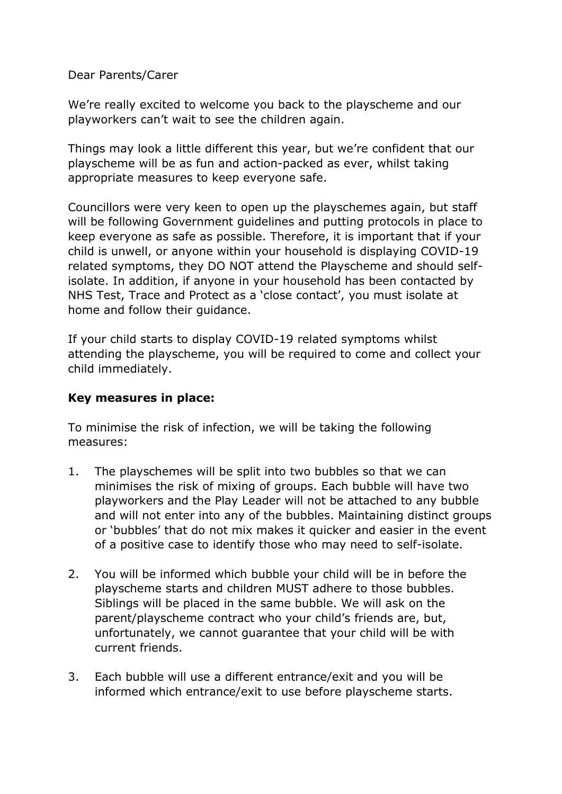Dear Parents/Carer

We're really excited to welcome you back to the playscheme and our playworkers can't wait to see the children again.

Things may look a little different this year, but we're confident that our playscheme will be as fun and action-packed as ever, whilst taking appropriate measures to keep everyone safe.

Councillors were very keen to open up the playschemes again, but staff will be following Government guidelines and putting protocols in place to keep everyone as safe as possible. Therefore, it is important that if your child is unwell, or anyone within your household is displaying COVID-19 related symptoms, they DO NOT attend the Playscheme and should selfisolate. In addition, if anyone in your household has been contacted by NHS Test, Trace and Protect as a 'close contact', you must isolate at home and follow their guidance.

If your child starts to display COVID-19 related symptoms whilst attending the playscheme, you will be required to come and collect your child immediately.

## **Key measures in place:**

To minimise the risk of infection, we will be taking the following measures:

- 1. The playschemes will be split into two bubbles so that we can minimises the risk of mixing of groups. Each bubble will have two playworkers and the Play Leader will not be attached to any bubble and will not enter into any of the bubbles. Maintaining distinct groups or 'bubbles' that do not mix makes it quicker and easier in the event of a positive case to identify those who may need to self-isolate.
- 2. You will be informed which bubble your child will be in before the playscheme starts and children MUST adhere to those bubbles. Siblings will be placed in the same bubble. We will ask on the parent/playscheme contract who your child's friends are, but, unfortunately, we cannot guarantee that your child will be with current friends.
- 3. Each bubble will use a different entrance/exit and you will be informed which entrance/exit to use before playscheme starts.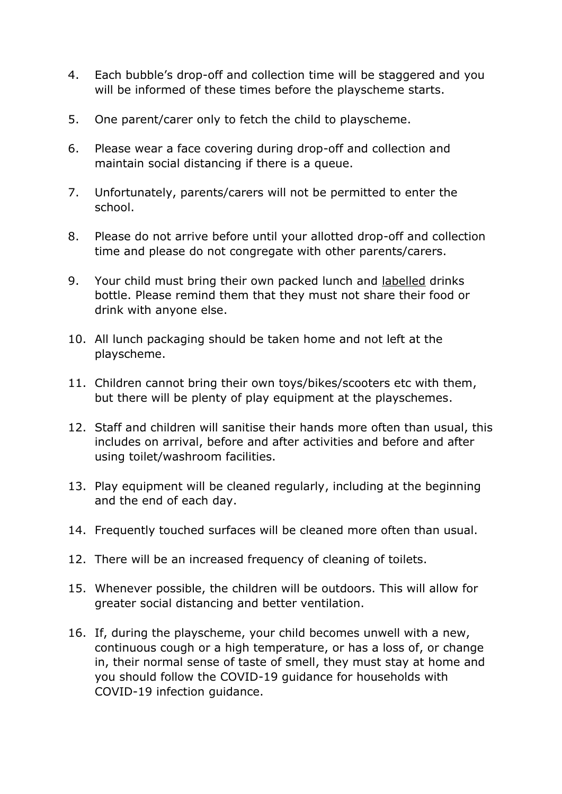- 4. Each bubble's drop-off and collection time will be staggered and you will be informed of these times before the playscheme starts.
- 5. One parent/carer only to fetch the child to playscheme.
- 6. Please wear a face covering during drop-off and collection and maintain social distancing if there is a queue.
- 7. Unfortunately, parents/carers will not be permitted to enter the school.
- 8. Please do not arrive before until your allotted drop-off and collection time and please do not congregate with other parents/carers.
- 9. Your child must bring their own packed lunch and labelled drinks bottle. Please remind them that they must not share their food or drink with anyone else.
- 10. All lunch packaging should be taken home and not left at the playscheme.
- 11. Children cannot bring their own toys/bikes/scooters etc with them, but there will be plenty of play equipment at the playschemes.
- 12. Staff and children will sanitise their hands more often than usual, this includes on arrival, before and after activities and before and after using toilet/washroom facilities.
- 13. Play equipment will be cleaned regularly, including at the beginning and the end of each day.
- 14. Frequently touched surfaces will be cleaned more often than usual.
- 12. There will be an increased frequency of cleaning of toilets.
- 15. Whenever possible, the children will be outdoors. This will allow for greater social distancing and better ventilation.
- 16. If, during the playscheme, your child becomes unwell with a new, continuous cough or a high temperature, or has a loss of, or change in, their normal sense of taste of smell, they must stay at home and you should follow the COVID-19 guidance for households with COVID-19 infection guidance.